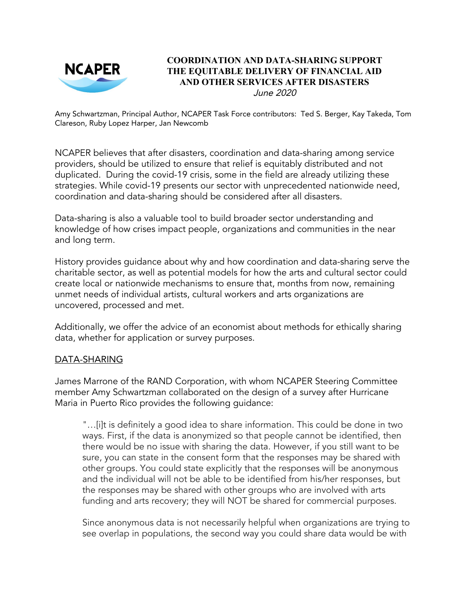

#### **COORDINATION AND DATA-SHARING SUPPORT THE EQUITABLE DELIVERY OF FINANCIAL AID AND OTHER SERVICES AFTER DISASTERS** June 2020

Amy Schwartzman, Principal Author, NCAPER Task Force contributors: Ted S. Berger, Kay Takeda, Tom Clareson, Ruby Lopez Harper, Jan Newcomb

NCAPER believes that after disasters, coordination and data-sharing among service providers, should be utilized to ensure that relief is equitably distributed and not duplicated. During the covid-19 crisis, some in the field are already utilizing these strategies. While covid-19 presents our sector with unprecedented nationwide need, coordination and data-sharing should be considered after all disasters.

Data-sharing is also a valuable tool to build broader sector understanding and knowledge of how crises impact people, organizations and communities in the near and long term.

History provides guidance about why and how coordination and data-sharing serve the charitable sector, as well as potential models for how the arts and cultural sector could create local or nationwide mechanisms to ensure that, months from now, remaining unmet needs of individual artists, cultural workers and arts organizations are uncovered, processed and met.

Additionally, we offer the advice of an economist about methods for ethically sharing data, whether for application or survey purposes.

#### DATA-SHARING

James Marrone of the RAND Corporation, with whom NCAPER Steering Committee member Amy Schwartzman collaborated on the design of a survey after Hurricane Maria in Puerto Rico provides the following guidance:

"…[i]t is definitely a good idea to share information. This could be done in two ways. First, if the data is anonymized so that people cannot be identified, then there would be no issue with sharing the data. However, if you still want to be sure, you can state in the consent form that the responses may be shared with other groups. You could state explicitly that the responses will be anonymous and the individual will not be able to be identified from his/her responses, but the responses may be shared with other groups who are involved with arts funding and arts recovery; they will NOT be shared for commercial purposes.

Since anonymous data is not necessarily helpful when organizations are trying to see overlap in populations, the second way you could share data would be with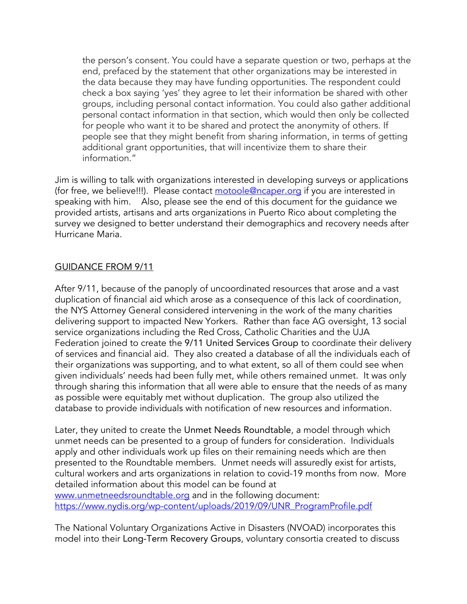the person's consent. You could have a separate question or two, perhaps at the end, prefaced by the statement that other organizations may be interested in the data because they may have funding opportunities. The respondent could check a box saying 'yes' they agree to let their information be shared with other groups, including personal contact information. You could also gather additional personal contact information in that section, which would then only be collected for people who want it to be shared and protect the anonymity of others. If people see that they might benefit from sharing information, in terms of getting additional grant opportunities, that will incentivize them to share their information."

Jim is willing to talk with organizations interested in developing surveys or applications (for free, we believe!!!). Please contact [motoole@ncaper.org](mailto:motoole@ncaper.org) if you are interested in speaking with him. Also, please see the end of this document for the guidance we provided artists, artisans and arts organizations in Puerto Rico about completing the survey we designed to better understand their demographics and recovery needs after Hurricane Maria.

#### GUIDANCE FROM 9/11

After 9/11, because of the panoply of uncoordinated resources that arose and a vast duplication of financial aid which arose as a consequence of this lack of coordination, the NYS Attorney General considered intervening in the work of the many charities delivering support to impacted New Yorkers. Rather than face AG oversight, 13 social service organizations including the Red Cross, Catholic Charities and the UJA Federation joined to create the 9/11 United Services Group to coordinate their delivery of services and financial aid. They also created a database of all the individuals each of their organizations was supporting, and to what extent, so all of them could see when given individuals' needs had been fully met, while others remained unmet. It was only through sharing this information that all were able to ensure that the needs of as many as possible were equitably met without duplication. The group also utilized the database to provide individuals with notification of new resources and information.

Later, they united to create the Unmet Needs Roundtable, a model through which unmet needs can be presented to a group of funders for consideration. Individuals apply and other individuals work up files on their remaining needs which are then presented to the Roundtable members. Unmet needs will assuredly exist for artists, cultural workers and arts organizations in relation to covid-19 months from now. More detailed information about this model can be found at [www.unmetneedsroundtable.org](http://www.unmetneedsroundtable.org/) and in the following document: [https://www.nydis.org/wp-content/uploads/2019/09/UNR\\_ProgramProfile.pdf](https://www.nydis.org/wp-content/uploads/2019/09/UNR_ProgramProfile.pdf)

The National Voluntary Organizations Active in Disasters (NVOAD) incorporates this model into their Long-Term Recovery Groups, voluntary consortia created to discuss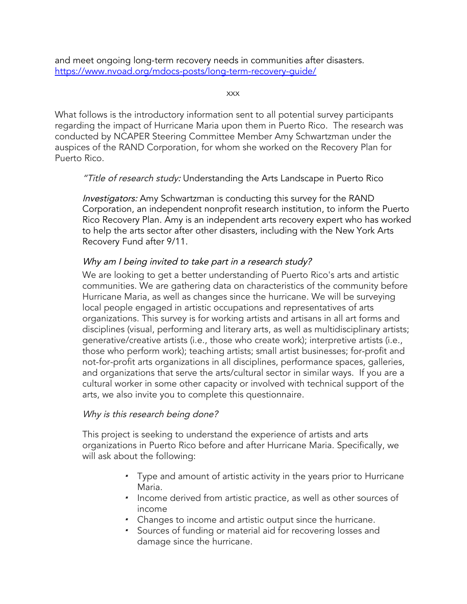and meet ongoing long-term recovery needs in communities after disasters. <https://www.nvoad.org/mdocs-posts/long-term-recovery-guide/>

xxx

What follows is the introductory information sent to all potential survey participants regarding the impact of Hurricane Maria upon them in Puerto Rico. The research was conducted by NCAPER Steering Committee Member Amy Schwartzman under the auspices of the RAND Corporation, for whom she worked on the Recovery Plan for Puerto Rico.

"Title of research study: Understanding the Arts Landscape in Puerto Rico

Investigators: Amy Schwartzman is conducting this survey for the RAND Corporation, an independent nonprofit research institution, to inform the Puerto Rico Recovery Plan. Amy is an independent arts recovery expert who has worked to help the arts sector after other disasters, including with the New York Arts Recovery Fund after 9/11.

# Why am I being invited to take part in a research study?

We are looking to get a better understanding of Puerto Rico's arts and artistic communities. We are gathering data on characteristics of the community before Hurricane Maria, as well as changes since the hurricane. We will be surveying local people engaged in artistic occupations and representatives of arts organizations. This survey is for working artists and artisans in all art forms and disciplines (visual, performing and literary arts, as well as multidisciplinary artists; generative/creative artists (i.e., those who create work); interpretive artists (i.e., those who perform work); teaching artists; small artist businesses; for-profit and not-for-profit arts organizations in all disciplines, performance spaces, galleries, and organizations that serve the arts/cultural sector in similar ways. If you are a cultural worker in some other capacity or involved with technical support of the arts, we also invite you to complete this questionnaire.

#### Why is this research being done?

This project is seeking to understand the experience of artists and arts organizations in Puerto Rico before and after Hurricane Maria. Specifically, we will ask about the following:

- Type and amount of artistic activity in the years prior to Hurricane Maria.
- Income derived from artistic practice, as well as other sources of income
- Changes to income and artistic output since the hurricane.
- Sources of funding or material aid for recovering losses and damage since the hurricane.